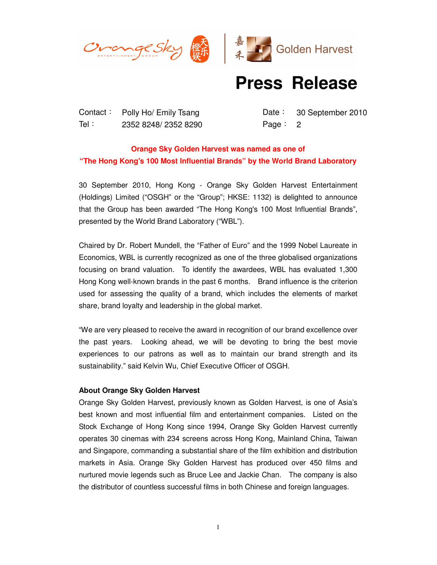



## **Press Release**

Contact: Polly Ho/ Emily Tsang Date: 30 September 2010 Tel: 2352 8248/ 2352 8290 Page: 2

## **Orange Sky Golden Harvest was named as one of "The Hong Kong's 100 Most Influential Brands" by the World Brand Laboratory**

30 September 2010, Hong Kong - Orange Sky Golden Harvest Entertainment (Holdings) Limited ("OSGH" or the "Group"; HKSE: 1132) is delighted to announce that the Group has been awarded "The Hong Kong's 100 Most Influential Brands", presented by the World Brand Laboratory ("WBL").

Chaired by Dr. Robert Mundell, the "Father of Euro" and the 1999 Nobel Laureate in Economics, WBL is currently recognized as one of the three globalised organizations focusing on brand valuation. To identify the awardees, WBL has evaluated 1,300 Hong Kong well-known brands in the past 6 months. Brand influence is the criterion used for assessing the quality of a brand, which includes the elements of market share, brand loyalty and leadership in the global market.

"We are very pleased to receive the award in recognition of our brand excellence over the past years. Looking ahead, we will be devoting to bring the best movie experiences to our patrons as well as to maintain our brand strength and its sustainability." said Kelvin Wu, Chief Executive Officer of OSGH.

## **About Orange Sky Golden Harvest**

Orange Sky Golden Harvest, previously known as Golden Harvest, is one of Asia's best known and most influential film and entertainment companies. Listed on the Stock Exchange of Hong Kong since 1994, Orange Sky Golden Harvest currently operates 30 cinemas with 234 screens across Hong Kong, Mainland China, Taiwan and Singapore, commanding a substantial share of the film exhibition and distribution markets in Asia. Orange Sky Golden Harvest has produced over 450 films and nurtured movie legends such as Bruce Lee and Jackie Chan. The company is also the distributor of countless successful films in both Chinese and foreign languages.